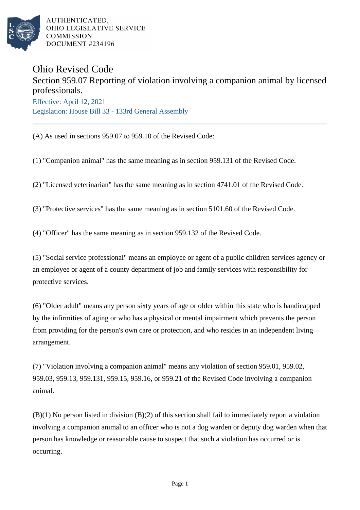

AUTHENTICATED. OHIO LEGISLATIVE SERVICE **COMMISSION** DOCUMENT #234196

## Ohio Revised Code

## Section 959.07 Reporting of violation involving a companion animal by licensed professionals. Effective: April 12, 2021

Legislation: House Bill 33 - 133rd General Assembly

(A) As used in sections 959.07 to 959.10 of the Revised Code:

- (1) "Companion animal" has the same meaning as in section 959.131 of the Revised Code.
- (2) "Licensed veterinarian" has the same meaning as in section 4741.01 of the Revised Code.
- (3) "Protective services" has the same meaning as in section 5101.60 of the Revised Code.
- (4) "Officer" has the same meaning as in section 959.132 of the Revised Code.

(5) "Social service professional" means an employee or agent of a public children services agency or an employee or agent of a county department of job and family services with responsibility for protective services.

(6) "Older adult" means any person sixty years of age or older within this state who is handicapped by the infirmities of aging or who has a physical or mental impairment which prevents the person from providing for the person's own care or protection, and who resides in an independent living arrangement.

(7) "Violation involving a companion animal" means any violation of section 959.01, 959.02, 959.03, 959.13, 959.131, 959.15, 959.16, or 959.21 of the Revised Code involving a companion animal.

(B)(1) No person listed in division (B)(2) of this section shall fail to immediately report a violation involving a companion animal to an officer who is not a dog warden or deputy dog warden when that person has knowledge or reasonable cause to suspect that such a violation has occurred or is occurring.